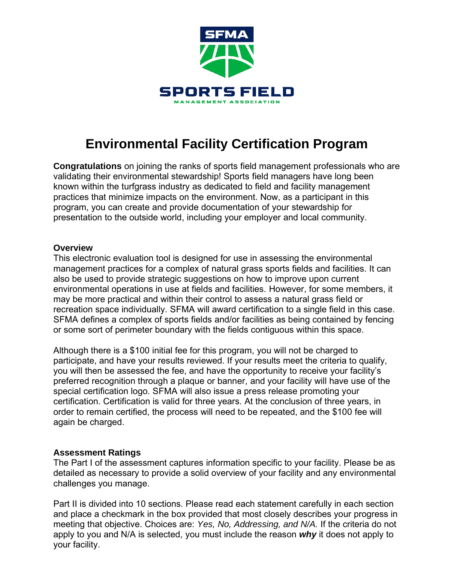

# **Environmental Facility Certification Program**

**Congratulations** on joining the ranks of sports field management professionals who are validating their environmental stewardship! Sports field managers have long been known within the turfgrass industry as dedicated to field and facility management practices that minimize impacts on the environment. Now, as a participant in this program, you can create and provide documentation of your stewardship for presentation to the outside world, including your employer and local community.

#### **Overview**

This electronic evaluation tool is designed for use in assessing the environmental management practices for a complex of natural grass sports fields and facilities. It can also be used to provide strategic suggestions on how to improve upon current environmental operations in use at fields and facilities. However, for some members, it may be more practical and within their control to assess a natural grass field or recreation space individually. SFMA will award certification to a single field in this case. SFMA defines a complex of sports fields and/or facilities as being contained by fencing or some sort of perimeter boundary with the fields contiguous within this space.

Although there is a \$100 initial fee for this program, you will not be charged to participate, and have your results reviewed. If your results meet the criteria to qualify, you will then be assessed the fee, and have the opportunity to receive your facility's preferred recognition through a plaque or banner, and your facility will have use of the special certification logo. SFMA will also issue a press release promoting your certification. Certification is valid for three years. At the conclusion of three years, in order to remain certified, the process will need to be repeated, and the \$100 fee will again be charged.

# **Assessment Ratings**

The Part I of the assessment captures information specific to your facility. Please be as detailed as necessary to provide a solid overview of your facility and any environmental challenges you manage.

Part II is divided into 10 sections. Please read each statement carefully in each section and place a checkmark in the box provided that most closely describes your progress in meeting that objective. Choices are: *Yes, No, Addressing, and N/A.* If the criteria do not apply to you and N/A is selected, you must include the reason *why* it does not apply to your facility.